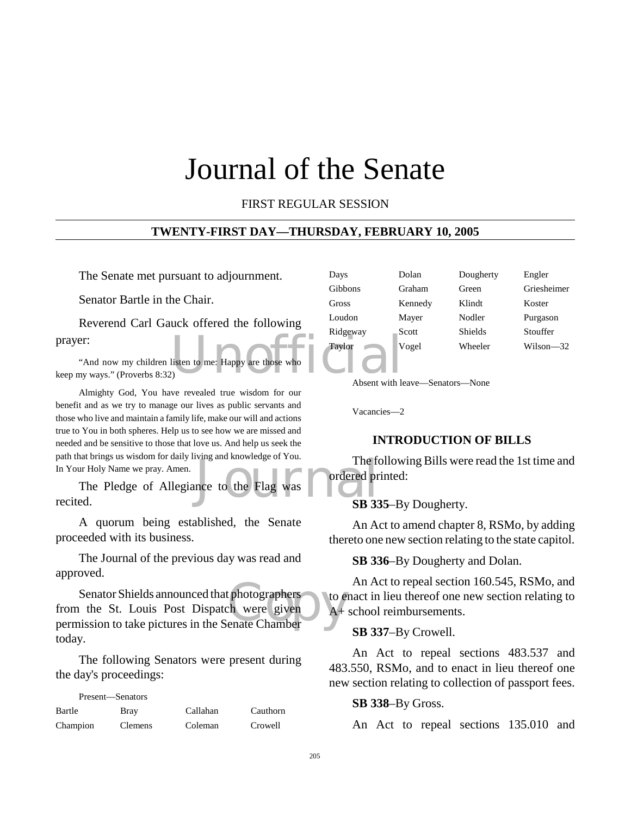# Journal of the Senate

# FIRST REGULAR SESSION

# **TWENTY-FIRST DAY—THURSDAY, FEBRUARY 10, 2005**

The Senate met pursuant to adjournment.

Senator Bartle in the Chair.

Reverend Carl Gauck offered the following prayer:

Explore the Europe of the Chapter of Taylor<br>
(b) Taylor<br>
(b) Absent with let "And now my children listen to me: Happy are those who keep my ways." (Proverbs 8:32)

Almighty God, You have revealed true wisdom for our benefit and as we try to manage our lives as public servants and those who live and maintain a family life, make our will and actions true to You in both spheres. Help us to see how we are missed and needed and be sensitive to those that love us. And help us seek the path that brings us wisdom for daily living and knowledge of You. In Your Holy Name we pray. Amen.

| path that brings us wisdom for daily fiving and knowledge of fou. | The fo       |
|-------------------------------------------------------------------|--------------|
| In Your Holy Name we pray. Amen.                                  | ordered pr   |
| The Pledge of Allegiance to the Flag was                          |              |
| recited.                                                          | <b>SB 33</b> |

A quorum being established, the Senate proceeded with its business.

The Journal of the previous day was read and approved.

photographers<br>
ch were given<br>
enate Chamber Senator Shields announced that photographers from the St. Louis Post Dispatch were given permission to take pictures in the Senate Chamber today.

The following Senators were present during the day's proceedings:

Present—Senators

| Bartle   | Bray           | Callahan | Cauthorn |
|----------|----------------|----------|----------|
| Champion | <b>Clemens</b> | Coleman  | Crowell  |

| Days     | Dolan   | Dougherty      | Engler      |
|----------|---------|----------------|-------------|
| Gibbons  | Graham  | Green          | Griesheimer |
| Gross    | Kennedy | Klindt         | Koster      |
| Loudon   | Mayer   | Nodler         | Purgason    |
| Ridgeway | Scott   | <b>Shields</b> | Stouffer    |
| Taylor   | Vogel   | Wheeler        | Wilson—32   |

Absent with leave—Senators—None

Vacancies—2

#### **INTRODUCTION OF BILLS**

The following Bills were read the 1st time and ordered printed:

**SB 335**–By Dougherty.

An Act to amend chapter 8, RSMo, by adding thereto one new section relating to the state capitol.

**SB 336**–By Dougherty and Dolan.

An Act to repeal section 160.545, RSMo, and to enact in lieu thereof one new section relating to A<sup>+</sup> school reimbursements.

#### **SB 337**–By Crowell.

An Act to repeal sections 483.537 and 483.550, RSMo, and to enact in lieu thereof one new section relating to collection of passport fees.

#### **SB 338**–By Gross.

An Act to repeal sections 135.010 and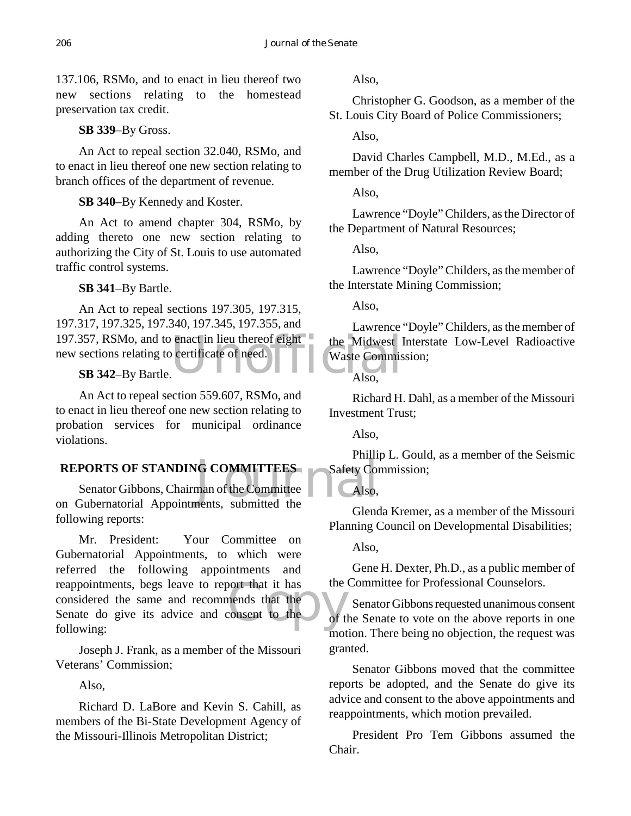137.106, RSMo, and to enact in lieu thereof two new sections relating to the homestead preservation tax credit.

**SB 339**–By Gross.

An Act to repeal section 32.040, RSMo, and to enact in lieu thereof one new section relating to branch offices of the department of revenue.

**SB 340**–By Kennedy and Koster.

An Act to amend chapter 304, RSMo, by adding thereto one new section relating to authorizing the City of St. Louis to use automated traffic control systems.

# **SB 341**–By Bartle.

197.357, RSMo, and to enact in lieu thereof eight the Midwest law sections relating to certificate of need.<br>
SB 342-By Bartle. Also, An Act to repeal sections 197.305, 197.315, 197.317, 197.325, 197.340, 197.345, 197.355, and new sections relating to certificate of need.

# **SB 342**–By Bartle.

An Act to repeal section 559.607, RSMo, and to enact in lieu thereof one new section relating to probation services for municipal ordinance violations.

# **REPORTS OF STANDING COMMITTEES**

IG COMMITTEES<br>man of the Committee Also,<br>nents, submitted the Senator Gibbons, Chairman of the Committee on Gubernatorial Appointments, submitted the following reports:

bort that it has<br>
mends that the<br>
consent to the of t Mr. President: Your Committee on Gubernatorial Appointments, to which were referred the following appointments and reappointments, begs leave to report that it has considered the same and recommends that the Senate do give its advice and consent to the following:

Joseph J. Frank, as a member of the Missouri Veterans' Commission;

Also,

Richard D. LaBore and Kevin S. Cahill, as members of the Bi-State Development Agency of the Missouri-Illinois Metropolitan District;

Also,

Christopher G. Goodson, as a member of the St. Louis City Board of Police Commissioners;

Also,

David Charles Campbell, M.D., M.Ed., as a member of the Drug Utilization Review Board;

Also,

Lawrence "Doyle" Childers, as the Director of the Department of Natural Resources;

Also,

Lawrence "Doyle" Childers, as the member of the Interstate Mining Commission;

Also,

Lawrence "Doyle" Childers, as the member of the Midwest Interstate Low-Level Radioactive Waste Commission;

Also,

Richard H. Dahl, as a member of the Missouri Investment Trust;

Also,

Phillip L. Gould, as a member of the Seismic Safety Commission;

Also,

Glenda Kremer, as a member of the Missouri Planning Council on Developmental Disabilities;

Also,

Gene H. Dexter, Ph.D., as a public member of the Committee for Professional Counselors.

Senator Gibbons requested unanimous consent of the Senate to vote on the above reports in one motion. There being no objection, the request was granted.

Senator Gibbons moved that the committee reports be adopted, and the Senate do give its advice and consent to the above appointments and reappointments, which motion prevailed.

President Pro Tem Gibbons assumed the Chair.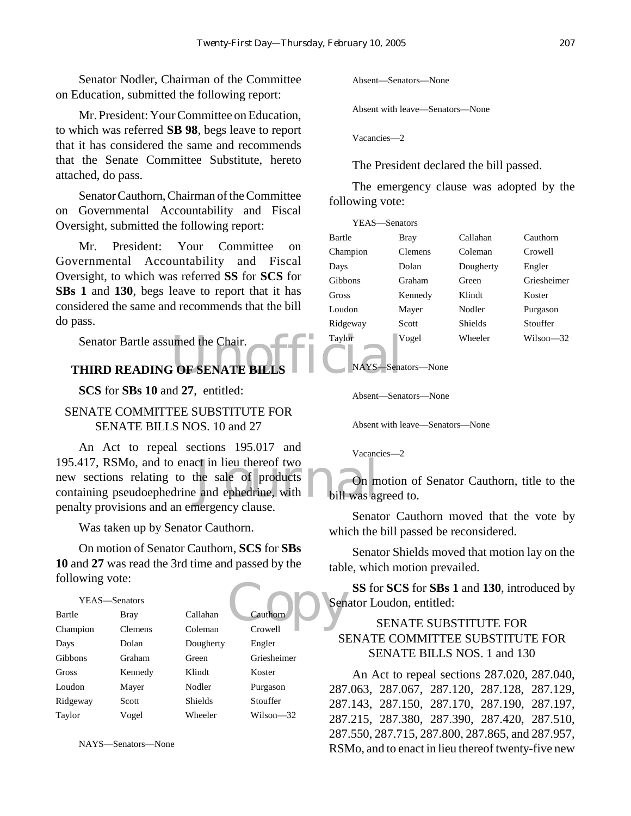Senator Nodler, Chairman of the Committee on Education, submitted the following report:

Mr. President: Your Committee on Education, to which was referred **SB 98**, begs leave to report that it has considered the same and recommends that the Senate Committee Substitute, hereto attached, do pass.

Senator Cauthorn, Chairman of the Committee on Governmental Accountability and Fiscal Oversight, submitted the following report:

Mr. President: Your Committee on Governmental Accountability and Fiscal Oversight, to which was referred **SS** for **SCS** for **SBs 1** and **130**, begs leave to report that it has considered the same and recommends that the bill do pass.

Senator Bartle assumed the Chair.<br>
THIRD READING OF SENATE BILLS<br>
THIRD READING OF SENATE BILLS Senator Bartle assumed the Chair.

**SCS** for **SBs 10** and **27**, entitled:

# SENATE COMMITTEE SUBSTITUTE FOR SENATE BILLS NOS. 10 and 27

ct in lieu thereof two<br>the sale of products<br>and ephedrine, with bill was agreement clause An Act to repeal sections 195.017 and 195.417, RSMo, and to enact in lieu thereof two new sections relating to the sale of products containing pseudoephedrine and ephedrine, with penalty provisions and an emergency clause.

Was taken up by Senator Cauthorn.

On motion of Senator Cauthorn, **SCS** for **SBs 10** and **27** was read the 3rd time and passed by the following vote:

| $10110$ Willy VOW. |                |                |                          |
|--------------------|----------------|----------------|--------------------------|
| YEAS-Senators      |                |                | Sen                      |
| Bartle             | Bray           | Callahan       | Cauthorn                 |
| Champion           | <b>Clemens</b> | Coleman        | Crowell                  |
| Days               | Dolan          | Dougherty      | S <sub>I</sub><br>Engler |
| Gibbons            | Graham         | Green          | Griesheimer              |
| Gross              | Kennedy        | Klindt         | Koster                   |
| Loudon             | Mayer          | Nodler         | Purgason<br>287          |
| Ridgeway           | Scott          | <b>Shields</b> | Stouffer<br>287          |
| Taylor             | Vogel          | Wheeler        | Wilson—32<br>287         |

NAYS—Senators—None

Absent—Senators—None

Absent with leave—Senators—None

Vacancies—2

The President declared the bill passed.

The emergency clause was adopted by the following vote:

| YEAS—Senators |                |                |             |
|---------------|----------------|----------------|-------------|
| Bartle        | Bray           | Callahan       | Cauthorn    |
| Champion      | <b>Clemens</b> | Coleman        | Crowell     |
| Days          | Dolan          | Dougherty      | Engler      |
| Gibbons       | Graham         | Green          | Griesheimer |
| Gross         | Kennedy        | Klindt         | Koster      |
| Loudon        | Mayer          | Nodler         | Purgason    |
| Ridgeway      | Scott          | <b>Shields</b> | Stouffer    |
| Taylor        | Vogel          | Wheeler        | Wilson-32   |
|               |                |                |             |

NAYS—Senators—None

Absent—Senators—None

Absent with leave—Senators—None

Vacancies—2

On motion of Senator Cauthorn, title to the bill was agreed to.

Senator Cauthorn moved that the vote by which the bill passed be reconsidered.

Senator Shields moved that motion lay on the table, which motion prevailed.

**SS** for **SCS** for **SBs 1** and **130**, introduced by Senator Loudon, entitled:

# SENATE SUBSTITUTE FOR SENATE COMMITTEE SUBSTITUTE FOR SENATE BILLS NOS. 1 and 130

An Act to repeal sections 287.020, 287.040, 287.063, 287.067, 287.120, 287.128, 287.129, 287.143, 287.150, 287.170, 287.190, 287.197, 287.215, 287.380, 287.390, 287.420, 287.510, 287.550, 287.715, 287.800, 287.865, and 287.957, RSMo, and to enact in lieu thereof twenty-five new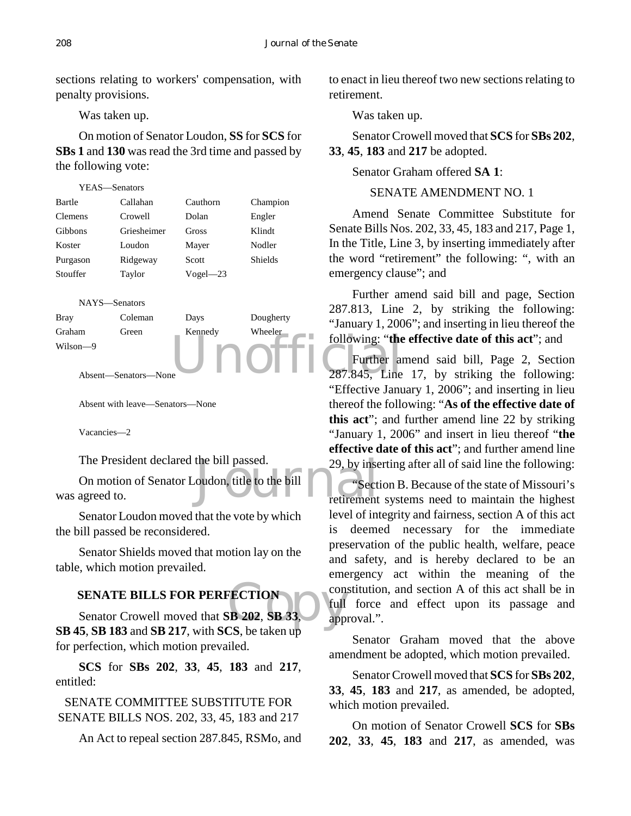sections relating to workers' compensation, with penalty provisions.

Was taken up.

On motion of Senator Loudon, **SS** for **SCS** for **SBs 1** and **130** was read the 3rd time and passed by the following vote:

| YEAS—Senators  |             |              |                |
|----------------|-------------|--------------|----------------|
| Bartle         | Callahan    | Cauthorn     | Champion       |
| <b>Clemens</b> | Crowell     | Dolan        | Engler         |
| Gibbons        | Griesheimer | Gross        | Klindt         |
| Koster         | Loudon      | Mayer        | Nodler         |
| Purgason       | Ridgeway    | Scott        | <b>Shields</b> |
| Stouffer       | Taylor      | $Vogel - 23$ |                |
|                |             |              |                |



Absent—Senators—None

Absent with leave—Senators—None

Vacancies—2

The President declared the bill passed.

the bill passed.<br>
29, by insequence of the bill<br>
The Section of the bill<br>
The Section of the bill<br>
The Section of the bill<br>
The Section of the bill<br>
The Section of the bill<br>
The Section of the Bill<br>
The Section of the Bill On motion of Senator Loudon, title to the bill was agreed to.

Senator Loudon moved that the vote by which the bill passed be reconsidered.

Senator Shields moved that motion lay on the table, which motion prevailed.

# **SENATE BILLS FOR PERFECTION**

FECTION con<br>
EX 202, SB 33, app Senator Crowell moved that **SB 202**, **SB 33**, **SB 45**, **SB 183** and **SB 217**, with **SCS**, be taken up for perfection, which motion prevailed.

**SCS** for **SBs 202**, **33**, **45**, **183** and **217**, entitled:

SENATE COMMITTEE SUBSTITUTE FOR SENATE BILLS NOS. 202, 33, 45, 183 and 217

An Act to repeal section 287.845, RSMo, and

to enact in lieu thereof two new sections relating to retirement.

Was taken up.

Senator Crowell moved that **SCS** for **SBs 202**, **33**, **45**, **183** and **217** be adopted.

Senator Graham offered **SA 1**:

SENATE AMENDMENT NO. 1

Amend Senate Committee Substitute for Senate Bills Nos. 202, 33, 45, 183 and 217, Page 1, In the Title, Line 3, by inserting immediately after the word "retirement" the following: ", with an emergency clause"; and

Further amend said bill and page, Section 287.813, Line 2, by striking the following: "January 1, 2006"; and inserting in lieu thereof the following: "**the effective date of this act**"; and

Further amend said bill, Page 2, Section 287.845, Line 17, by striking the following: "Effective January 1, 2006"; and inserting in lieu thereof the following: "**As of the effective date of this act**"; and further amend line 22 by striking "January 1, 2006" and insert in lieu thereof "**the effective date of this act**"; and further amend line 29, by inserting after all of said line the following:

"Section B. Because of the state of Missouri's retirement systems need to maintain the highest level of integrity and fairness, section A of this act is deemed necessary for the immediate preservation of the public health, welfare, peace and safety, and is hereby declared to be an emergency act within the meaning of the constitution, and section A of this act shall be in full force and effect upon its passage and approval.".

Senator Graham moved that the above amendment be adopted, which motion prevailed.

Senator Crowell moved that **SCS** for **SBs 202**, **33**, **45**, **183** and **217**, as amended, be adopted, which motion prevailed.

On motion of Senator Crowell **SCS** for **SBs 202**, **33**, **45**, **183** and **217**, as amended, was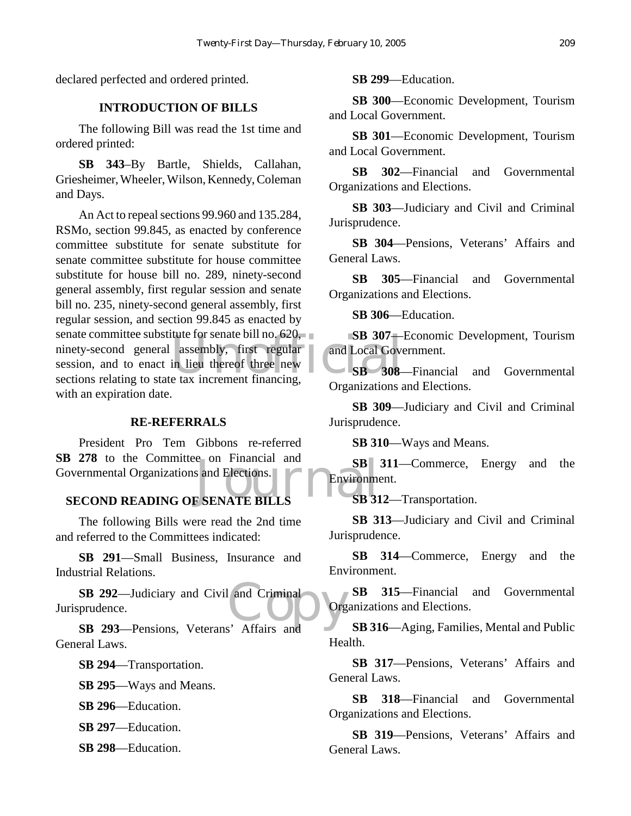declared perfected and ordered printed.

# **INTRODUCTION OF BILLS**

The following Bill was read the 1st time and ordered printed:

**SB 343**–By Bartle, Shields, Callahan, Griesheimer, Wheeler, Wilson, Kennedy, Coleman and Days.

tute for senate bill no. 620,<br>assembly, first regular<br>in lieu thereof three new<br>e tax increment financing, An Act to repeal sections 99.960 and 135.284, RSMo, section 99.845, as enacted by conference committee substitute for senate substitute for senate committee substitute for house committee substitute for house bill no. 289, ninety-second general assembly, first regular session and senate bill no. 235, ninety-second general assembly, first regular session, and section 99.845 as enacted by senate committee substitute for senate bill no. 620, ninety-second general assembly, first regular session, and to enact in lieu thereof three new sections relating to state tax increment financing, with an expiration date.

#### **RE-REFERRALS**

S 278 to the Committee on Financial and SB<br>
overnmental Organizations and Elections.<br>
SECOND READING OF SENATE BILLS SB 31 President Pro Tem Gibbons re-referred **SB 278** to the Committee on Financial and Governmental Organizations and Elections.

The following Bills were read the 2nd time and referred to the Committees indicated:

**SB 291**—Small Business, Insurance and Industrial Relations.

SB 292—Judiciary and Civil and Criminal<br>
prudence.<br>
SB 293—Pensions Veterans' Affairs and Jurisprudence.

**SB 293**—Pensions, Veterans' Affairs and General Laws.

**SB 294**—Transportation.

**SB 295**—Ways and Means.

**SB 296**—Education.

**SB 297**—Education.

**SB 298**—Education.

**SB 299**—Education.

**SB 300**—Economic Development, Tourism and Local Government.

**SB 301**—Economic Development, Tourism and Local Government.

**SB 302**—Financial and Governmental Organizations and Elections.

**SB 303**—Judiciary and Civil and Criminal Jurisprudence.

**SB 304**—Pensions, Veterans' Affairs and General Laws.

**SB 305**—Financial and Governmental Organizations and Elections.

**SB 306**—Education.

**SB 307**—Economic Development, Tourism and Local Government.

**SB 308**—Financial and Governmental Organizations and Elections.

**SB 309**—Judiciary and Civil and Criminal Jurisprudence.

**SB 310**—Ways and Means.

**SB 311**—Commerce, Energy and the Environment.

**SB 312**—Transportation.

**SB 313**—Judiciary and Civil and Criminal Jurisprudence.

**SB 314**—Commerce, Energy and the Environment.

**SB 315**—Financial and Governmental Organizations and Elections.

**SB 316**—Aging, Families, Mental and Public Health.

**SB 317**—Pensions, Veterans' Affairs and General Laws.

**SB 318**—Financial and Governmental Organizations and Elections.

**SB 319**—Pensions, Veterans' Affairs and General Laws.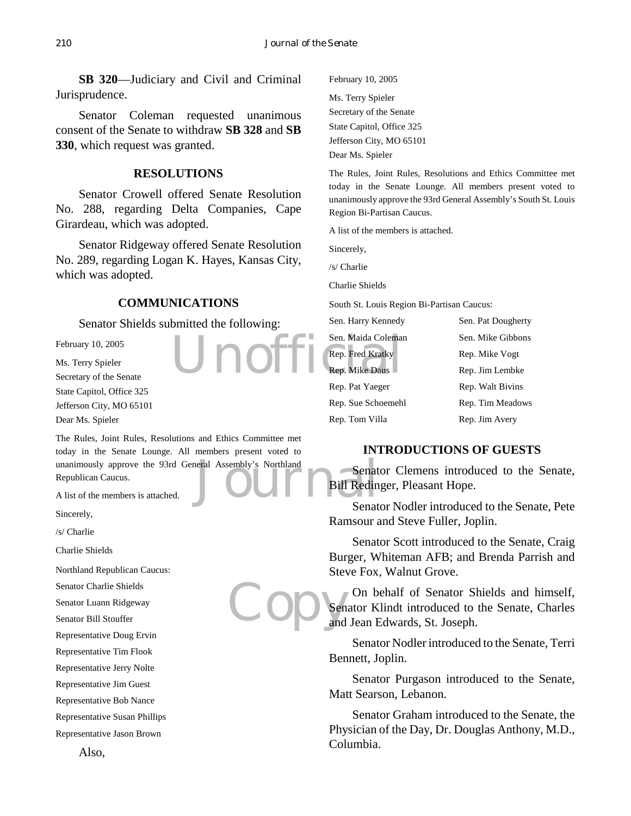**SB 320**—Judiciary and Civil and Criminal Jurisprudence.

Senator Coleman requested unanimous consent of the Senate to withdraw **SB 328** and **SB 330**, which request was granted.

#### **RESOLUTIONS**

Senator Crowell offered Senate Resolution No. 288, regarding Delta Companies, Cape Girardeau, which was adopted.

Senator Ridgeway offered Senate Resolution No. 289, regarding Logan K. Hayes, Kansas City, which was adopted.

#### **COMMUNICATIONS**

Senator Shields submitted the following:

February 10, 2005

Ms. Terry Spieler Secretary of the Senate State Capitol, Office 325 Jefferson City, MO 65101 Dear Ms. Spieler

Unanimously approve the 93rd General Assembly's Northland<br>
Republican Caucus.<br>
A list of the members is attached. The Rules, Joint Rules, Resolutions and Ethics Committee met today in the Senate Lounge. All members present voted to Republican Caucus.

A list of the members is attached.

Sincerely,

/s/ Charlie

Charlie Shields

Northland Republican Caucus:

Senator Charlie Shields

Senator Luann Ridgeway

Senator Bill Stouffer

Representative Doug Ervin

Representative Tim Flook

Representative Jerry Nolte

Representative Jim Guest

Representative Bob Nance

Representative Susan Phillips

Representative Jason Brown

February 10, 2005 Ms. Terry Spieler Secretary of the Senate State Capitol, Office 325 Jefferson City, MO 65101 Dear Ms. Spieler

The Rules, Joint Rules, Resolutions and Ethics Committee met today in the Senate Lounge. All members present voted to unanimously approve the 93rd General Assembly's South St. Louis Region Bi-Partisan Caucus.

A list of the members is attached.

Sincerely,

/s/ Charlie

Charlie Shields

South St. Louis Region Bi-Partisan Caucus:

**Unofficial** Rep. Fred Kratky<br>Rep. Mike Daus Sen. Harry Kennedy Sen. Pat Dougherty Sen. Maida Coleman Sen. Mike Gibbons Rep. Fred Kratky Rep. Mike Vogt Rep. Mike Daus Rep. Jim Lembke Rep. Pat Yaeger Rep. Walt Bivins Rep. Sue Schoemehl Rep. Tim Meadows Rep. Tom Villa Rep. Jim Avery

# **INTRODUCTIONS OF GUESTS**

Senator Clemens introduced to the Senate, Bill Redinger, Pleasant Hope.

Senator Nodler introduced to the Senate, Pete Ramsour and Steve Fuller, Joplin.

Senator Scott introduced to the Senate, Craig Burger, Whiteman AFB; and Brenda Parrish and Steve Fox, Walnut Grove.

Copysen On behalf of Senator Shields and himself, Senator Klindt introduced to the Senate, Charles and Jean Edwards, St. Joseph.

> Senator Nodler introduced to the Senate, Terri Bennett, Joplin.

> Senator Purgason introduced to the Senate, Matt Searson, Lebanon.

> Senator Graham introduced to the Senate, the Physician of the Day, Dr. Douglas Anthony, M.D., Columbia.

Also,